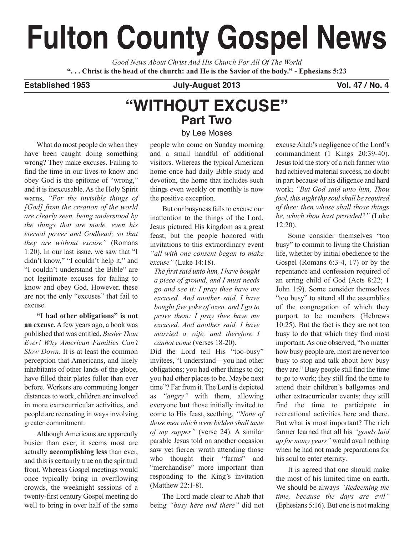# **Fulton County Gospel News**

*Good News About Christ And His Church For All Of The World* "... Christ is the head of the church: and He is the Savior of the body." - Ephesians 5:23

## **Established 1953 July-August 2013 Vol. 47 / No. 4**

## **"WITHOUT EXCUSE" Part Two**

## by Lee Moses

What do most people do when they have been caught doing something wrong? They make excuses. Failing to find the time in our lives to know and obey God is the epitome of "wrong," and it is inexcusable.As the Holy Spirit warns, *"For the invisible things of [God] from the creation of the world are clearly seen, being understood by the things that are made, even his eternal power and Godhead; so that they are without excuse"* (Romans 1:20). In our last issue, we saw that "I didn't know," "I couldn't help it," and "I couldn't understand the Bible" are not legitimate excuses for failing to know and obey God. However, these are not the only "excuses" that fail to excuse.

**"I had other obligations" is not an excuse.**Afew years ago, a book was published that was entitled, *Busier Than Ever! Why American Families Can't Slow Down*. It is at least the common perception that Americans, and likely inhabitants of other lands of the globe, have filled their plates fuller than ever before. Workers are commuting longer distances to work, children are involved in more extracurricular activities, and people are recreating in ways involving greater commitment.

AlthoughAmericans are apparently busier than ever, it seems most are actually **accomplishing less** than ever, and this is certainly true on the spiritual front. Whereas Gospel meetings would once typically bring in overflowing crowds, the weeknight sessions of a twenty-first century Gospel meeting do well to bring in over half of the same people who come on Sunday morning and a small handful of additional visitors. Whereas the typical American home once had daily Bible study and devotion, the home that includes such things even weekly or monthly is now the positive exception.

But our busyness fails to excuse our inattention to the things of the Lord. Jesus pictured His kingdom as a great feast, but the people honored with invitations to this extraordinary event *"all with one consent began to make excuse"* (Luke 14:18).

*The firstsaid unto him, I have bought a piece of ground, and I must needs go and see it: I pray thee have me excused. And another said, I have bought five yoke of oxen, and I go to prove them: I pray thee have me excused. And another said, I have married a wife, and therefore I cannot come* (verses 18-20).

Did the Lord tell His "too-busy" invitees, "I understand—you had other obligations; you had other things to do; you had other places to be. Maybe next time"? Far from it. The Lord is depicted as *"angry"* with them, allowing everyone **but** those initially invited to come to His feast, seething, *"None of those men which were bidden shall taste of my supper"* (verse 24). A similar parable Jesus told on another occasion saw yet fiercer wrath attending those who thought their "farms" and "merchandise" more important than responding to the King's invitation (Matthew 22:1-8).

The Lord made clear to Ahab that being *"busy here and there"* did not

excuse Ahab's negligence of the Lord's commandment (1 Kings 20:39-40). Jesus told the story of a rich farmer who had achieved material success, no doubt in part because of his diligence and hard work; *"But God said unto him, Thou fool, this night thy soulshall be required of thee: then whose shall those things be, which thou hast provided?"* (Luke 12:20).

Some consider themselves "too busy" to commit to living the Christian life, whether by initial obedience to the Gospel (Romans 6:3-4, 17) or by the repentance and confession required of an erring child of God (Acts 8:22; 1 John 1:9). Some consider themselves "too busy" to attend all the assemblies of the congregation of which they purport to be members (Hebrews 10:25). But the fact is they are not too busy to do that which they find most important.As one observed, "No matter how busy people are, most are never too busy to stop and talk about how busy they are." Busy people still find the time to go to work; they still find the time to attend their children's ballgames and other extracurricular events; they still find the time to participate in recreational activities here and there. But what **is** most important? The rich farmer learned that all his *"goods laid up for many years"* would avail nothing when he had not made preparations for his soul to enter eternity.

It is agreed that one should make the most of his limited time on earth. We should be always *"Redeeming the time, because the days are evil"* (Ephesians 5:16). But one is not making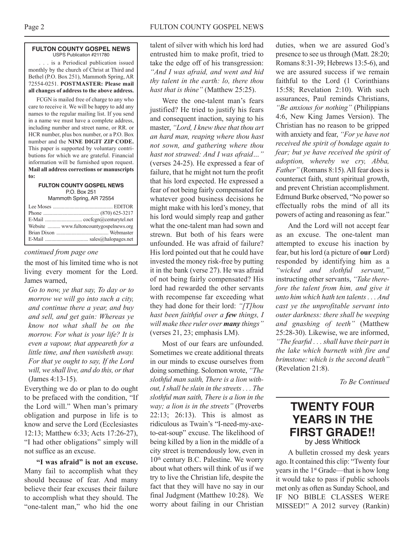#### **FULTON COUNTY GOSPEL NEWS** USPS Publication #211780

. . . is a Periodical publication issued monthly by the church of Christ at Third and Bethel (P.O. Box 251), Mammoth Spring, AR 72554-0251. **POSTMASTER: Please mail all changes of address to the above address.**

FCGN is mailed free of charge to any who care to receive it. We will be happy to add any names to the regular mailing list. If you send in a name we must have a complete address, including number and street name, or RR. or HCR number, plus box number, or a P.O. Box number and the **NINE DIGIT ZIP CODE.** This paper is supported by voluntary contributions for which we are grateful. Financial information will be furnished upon request. **Mail all address corrections or manuscripts to:**

#### **FULTON COUNTY GOSPEL NEWS** P.O. Box 251 Mammoth Spring, AR 72554

| Website  www.fultoncountygospelnews.org |
|-----------------------------------------|
|                                         |
|                                         |
|                                         |

## *continued from page one*

the most of his limited time who is not living every moment for the Lord. James warned,

*Go to now, ye that say, To day or to morrow we will go into such a city, and continue there a year, and buy and sell, and get gain: Whereas ye know not what shall be on the morrow. For what is your life? It is even a vapour, that appeareth for a little time, and then vanisheth away. For that ye ought to say, If the Lord will, we shall live, and do this, orthat* (James 4:13-15).

Everything we do or plan to do ought to be prefaced with the condition, "If the Lord will." When man's primary obligation and purpose in life is to know and serve the Lord (Ecclesiastes 12:13; Matthew 6:33; Acts 17:26-27), "I had other obligations" simply will not suffice as an excuse.

**"I was afraid" is not an excuse.** Many fail to accomplish what they should because of fear. And many believe their fear excuses their failure to accomplish what they should. The "one-talent man," who hid the one

talent of silver with which his lord had entrusted him to make profit, tried to take the edge off of his transgression: *"And I was afraid, and went and hid thy talent in the earth: lo, there thou hast that is thine"* (Matthew 25:25).

Were the one-talent man's fears justified? He tried to justify his fears and consequent inaction, saying to his master, *"Lord, I knew thee that thou art an hard man, reaping where thou hast not sown, and gathering where thou hast not strawed: And I was afraid…"* (verses 24-25). He expressed a fear of failure, that he might not turn the profit that his lord expected. He expressed a fear of not being fairly compensated for whatever good business decisions he might make with his lord's money, that his lord would simply reap and gather what the one-talent man had sown and strewn. But both of his fears were unfounded. He was afraid of failure? His lord pointed out that he could have invested the money risk-free by putting it in the bank (verse 27). He was afraid of not being fairly compensated? His lord had rewarded the other servants with recompense far exceeding what they had done for their lord: *"[T]hou hast been faithful over a few things, I will make thee ruler over many things"* (verses 21, 23; emphasis LM).

Most of our fears are unfounded. Sometimes we create additional threats in our minds to excuse ourselves from doing something. Solomon wrote, *"The slothful man saith, There is a lion without, Ishall be slain in the streets. . . The slothful man saith, There is a lion in the way; a lion is in the streets"* (Proverbs 22:13; 26:13). This is almost as ridiculous as Twain's "I-need-my-axeto-eat-soup" excuse. The likelihood of being killed by a lion in the middle of a city street is tremendously low, even in  $10<sup>th</sup>$  century B.C. Palestine. We worry about what others will think of us if we try to live the Christian life, despite the fact that they will have no say in our final Judgment (Matthew 10:28). We worry about failing in our Christian

duties, when we are assured God's presence to see us through (Matt. 28:20; Romans 8:31-39; Hebrews 13:5-6), and we are assured success if we remain faithful to the Lord (1 Corinthians 15:58; Revelation 2:10). With such assurances, Paul reminds Christians, *"Be anxious for nothing"* (Philippians 4:6, New King James Version). The Christian has no reason to be gripped with anxiety and fear, *"For ye have not received the spirit of bondage again to fear; but ye have received the spirit of adoption, whereby we cry, Abba, Father*" (Romans 8:15). All fear does is counteract faith, stunt spiritual growth, and prevent Christian accomplishment. Edmund Burke observed, "No powerso effectually robs the mind of all its powers of acting and reasoning as fear."

And the Lord will not accept fear as an excuse. The one-talent man attempted to excuse his inaction by fear, but his lord (a picture of **our** Lord) responded by identifying him as a *"wicked and slothful servant,"* instructing other servants, *"Take therefore the talent from him, and give it unto him which hath ten talents . . . And cast ye the unprofitable servant into outer darkness: there shall be weeping and gnashing of teeth"* (Matthew 25:28-30). Likewise, we are informed, *"The fearful . . . shall have their part in the lake which burneth with fire and brimstone: which is the second death"* (Revelation 21:8).

*To Be Continued*

## **TWENTY FOUR YEARS IN THE FIRST GRADE!!** by Jess Whitlock

A bulletin crossed my desk years ago. It contained this clip: "Twenty four years in the 1<sup>st</sup> Grade—that is how long it would take to pass if public schools met only as often as Sunday School, and IF NO BIBLE CLASSES WERE MISSED!" A 2012 survey (Rankin)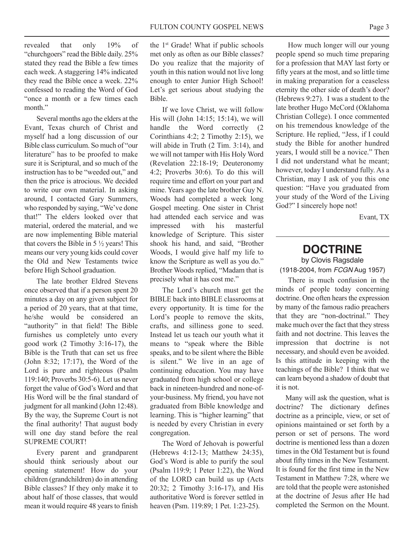revealed that only 19% of "churchgoers" read the Bible daily. 25% stated they read the Bible a few times each week. A staggering 14% indicated they read the Bible once a week. 22% confessed to reading the Word of God "once a month or a few times each month"

Several months ago the elders at the Evant, Texas church of Christ and myself had a long discussion of our Bible class curriculum. So much of "our literature" has to be proofed to make sure it is Scriptural, and so much of the instruction has to be "weeded out," and then the price is atrocious. We decided to write our own material. In asking around, I contacted Gary Summers, who responded by saying, "We've done that!" The elders looked over that material, ordered the material, and we are now implementing Bible material that covers the Bible in  $5\frac{1}{2}$  years! This means our very young kids could cover the Old and New Testaments twice before High School graduation.

The late brother Eldred Stevens once observed that if a person spent 20 minutes a day on any given subject for a period of 20 years, that at that time, he/she would be considered an "authority" in that field! The Bible furnishes us completely unto every good work (2 Timothy 3:16-17), the Bible is the Truth that can set us free (John 8:32; 17:17), the Word of the Lord is pure and righteous (Psalm 119:140; Proverbs 30:5-6). Let us never forget the value of God's Word and that His Word will be the final standard of judgment for all mankind (John 12:48). By the way, the Supreme Court is not the final authority! That august body will one day stand before the real SUPREME COURT!

Every parent and grandparent should think seriously about our opening statement! How do your children (grandchildren) do in attending Bible classes? If they only make it to about half of those classes, that would mean it would require 48 years to finish the 1st Grade! What if public schools met only as often as our Bible classes? Do you realize that the majority of youth in this nation would not live long enough to enter Junior High School! Let's get serious about studying the Bible.

If we love Christ, we will follow His will (John 14:15; 15:14), we will handle the Word correctly (2 Corinthians 4:2; 2 Timothy 2:15), we will abide in Truth (2 Tim. 3:14), and we will not tamper with His Holy Word (Revelation 22:18-19; Deuteronomy 4:2; Proverbs 30:6). To do this will require time and effort on your part and mine. Years ago the late brother Guy N. Woods had completed a week long Gospel meeting. One sister in Christ had attended each service and was impressed with his masterful knowledge of Scripture. This sister shook his hand, and said, "Brother Woods, I would give half my life to know the Scripture as well as you do." Brother Woods replied, "Madam that is precisely what it has cost me."

The Lord's church must get the BIBLE back into BIBLE classrooms at every opportunity. It is time for the Lord's people to remove the skits, crafts, and silliness gone to seed. Instead let us teach our youth what it means to "speak where the Bible speaks, and to be silent where the Bible is silent." We live in an age of continuing education. You may have graduated from high school or college back in nineteen-hundred and none-ofyour-business. My friend, you have not graduated from Bible knowledge and learning. This is "higher learning" that is needed by every Christian in every congregation.

The Word of Jehovah is powerful (Hebrews 4:12-13; Matthew 24:35), God's Word is able to purify the soul (Psalm 119:9; 1 Peter 1:22), the Word of the LORD can build us up (Acts 20:32; 2 Timothy 3:16-17), and His authoritative Word is forever settled in heaven (Psm. 119:89; 1 Pet. 1:23-25).

How much longer will our young people spend so much time preparing for a profession that MAY last forty or fifty years at the most, and so little time in making preparation for a ceaseless eternity the other side of death's door? (Hebrews 9:27). I was a student to the late brother Hugo McCord (Oklahoma Christian College). I once commented on his tremendous knowledge of the Scripture. He replied, "Jess, if I could study the Bible for another hundred years, I would still be a novice." Then I did not understand what he meant; however, today I understand fully. As a Christian, may I ask of you this one question: "Have you graduated from your study of the Word of the Living God?" I sincerely hope not!

Evant, TX

## **DOCTRINE**

by Clovis Ragsdale (1918-2004, from FCGN Aug 1957)

There is much confusion in the minds of people today concerning doctrine. One often hears the expression by many of the famous radio preachers that they are "non-doctrinal." They make much over the fact that they stress faith and not doctrine. This leaves the impression that doctrine is not necessary, and should even be avoided. Is this attitude in keeping with the teachings of the Bible? I think that we can learn beyond a shadow of doubt that it is not.

Many will ask the question, what is doctrine? The dictionary defines doctrine as a principle, view, or set of opinions maintained or set forth by a person or set of persons. The word doctrine is mentioned less than a dozen times in the Old Testament but is found about fifty times in the New Testament. It is found for the first time in the New Testament in Matthew 7:28, where we are told that the people were astonished at the doctrine of Jesus after He had completed the Sermon on the Mount.